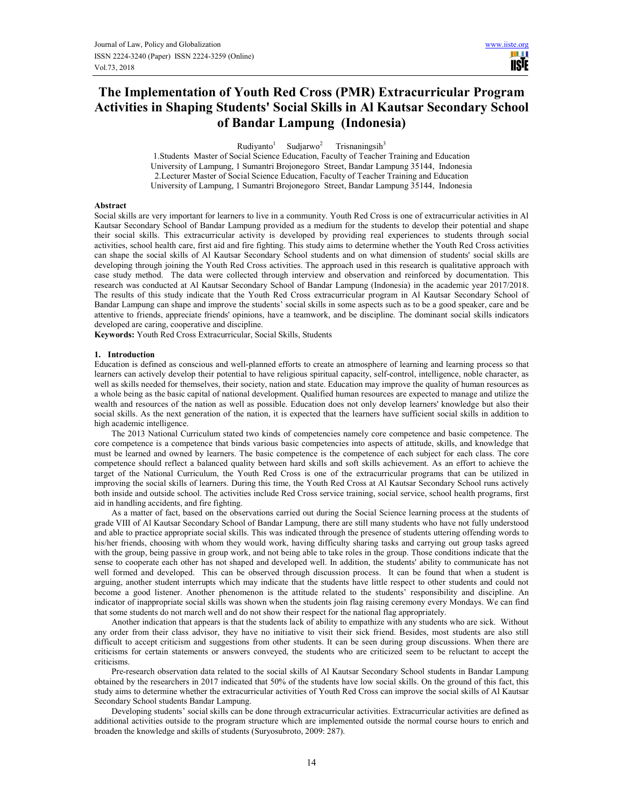TI L **USE** 

# **The Implementation of Youth Red Cross (PMR) Extracurricular Program Activities in Shaping Students' Social Skills in Al Kautsar Secondary School of Bandar Lampung (Indonesia)**

 $Rudiyanto<sup>1</sup>$ Sudjarwo<sup>2</sup> Trisnaningsih<sup>3</sup>

1.Students Master of Social Science Education, Faculty of Teacher Training and Education University of Lampung, 1 Sumantri Brojonegoro Street, Bandar Lampung 35144, Indonesia 2.Lecturer Master of Social Science Education, Faculty of Teacher Training and Education University of Lampung, 1 Sumantri Brojonegoro Street, Bandar Lampung 35144, Indonesia

# **Abstract**

Social skills are very important for learners to live in a community. Youth Red Cross is one of extracurricular activities in Al Kautsar Secondary School of Bandar Lampung provided as a medium for the students to develop their potential and shape their social skills. This extracurricular activity is developed by providing real experiences to students through social activities, school health care, first aid and fire fighting. This study aims to determine whether the Youth Red Cross activities can shape the social skills of Al Kautsar Secondary School students and on what dimension of students' social skills are developing through joining the Youth Red Cross activities. The approach used in this research is qualitative approach with case study method. The data were collected through interview and observation and reinforced by documentation. This research was conducted at Al Kautsar Secondary School of Bandar Lampung (Indonesia) in the academic year 2017/2018. The results of this study indicate that the Youth Red Cross extracurricular program in Al Kautsar Secondary School of Bandar Lampung can shape and improve the students' social skills in some aspects such as to be a good speaker, care and be attentive to friends, appreciate friends' opinions, have a teamwork, and be discipline. The dominant social skills indicators developed are caring, cooperative and discipline.

**Keywords:** Youth Red Cross Extracurricular, Social Skills, Students

#### **1. Introduction**

Education is defined as conscious and well-planned efforts to create an atmosphere of learning and learning process so that learners can actively develop their potential to have religious spiritual capacity, self-control, intelligence, noble character, as well as skills needed for themselves, their society, nation and state. Education may improve the quality of human resources as a whole being as the basic capital of national development. Qualified human resources are expected to manage and utilize the wealth and resources of the nation as well as possible. Education does not only develop learners' knowledge but also their social skills. As the next generation of the nation, it is expected that the learners have sufficient social skills in addition to high academic intelligence.

The 2013 National Curriculum stated two kinds of competencies namely core competence and basic competence. The core competence is a competence that binds various basic competencies into aspects of attitude, skills, and knowledge that must be learned and owned by learners. The basic competence is the competence of each subject for each class. The core competence should reflect a balanced quality between hard skills and soft skills achievement. As an effort to achieve the target of the National Curriculum, the Youth Red Cross is one of the extracurricular programs that can be utilized in improving the social skills of learners. During this time, the Youth Red Cross at Al Kautsar Secondary School runs actively both inside and outside school. The activities include Red Cross service training, social service, school health programs, first aid in handling accidents, and fire fighting.

As a matter of fact, based on the observations carried out during the Social Science learning process at the students of grade VIII of Al Kautsar Secondary School of Bandar Lampung, there are still many students who have not fully understood and able to practice appropriate social skills. This was indicated through the presence of students uttering offending words to his/her friends, choosing with whom they would work, having difficulty sharing tasks and carrying out group tasks agreed with the group, being passive in group work, and not being able to take roles in the group. Those conditions indicate that the sense to cooperate each other has not shaped and developed well. In addition, the students' ability to communicate has not well formed and developed. This can be observed through discussion process. It can be found that when a student is arguing, another student interrupts which may indicate that the students have little respect to other students and could not become a good listener. Another phenomenon is the attitude related to the students' responsibility and discipline. An indicator of inappropriate social skills was shown when the students join flag raising ceremony every Mondays. We can find that some students do not march well and do not show their respect for the national flag appropriately.

Another indication that appears is that the students lack of ability to empathize with any students who are sick. Without any order from their class advisor, they have no initiative to visit their sick friend. Besides, most students are also still difficult to accept criticism and suggestions from other students. It can be seen during group discussions. When there are criticisms for certain statements or answers conveyed, the students who are criticized seem to be reluctant to accept the criticisms.

Pre-research observation data related to the social skills of Al Kautsar Secondary School students in Bandar Lampung obtained by the researchers in 2017 indicated that 50% of the students have low social skills. On the ground of this fact, this study aims to determine whether the extracurricular activities of Youth Red Cross can improve the social skills of Al Kautsar Secondary School students Bandar Lampung.

Developing students' social skills can be done through extracurricular activities. Extracurricular activities are defined as additional activities outside to the program structure which are implemented outside the normal course hours to enrich and broaden the knowledge and skills of students (Suryosubroto, 2009: 287).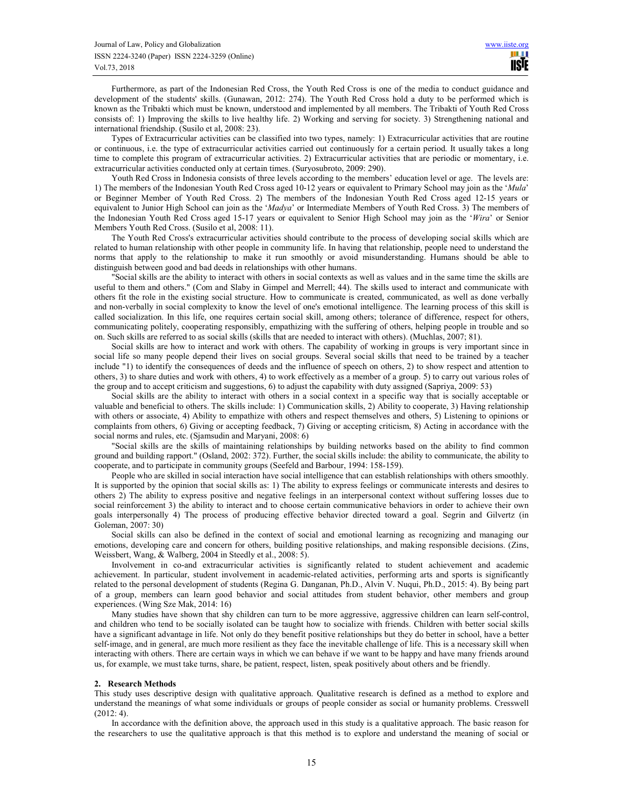Furthermore, as part of the Indonesian Red Cross, the Youth Red Cross is one of the media to conduct guidance and development of the students' skills. (Gunawan, 2012: 274). The Youth Red Cross hold a duty to be performed which is known as the Tribakti which must be known, understood and implemented by all members. The Tribakti of Youth Red Cross consists of: 1) Improving the skills to live healthy life. 2) Working and serving for society. 3) Strengthening national and international friendship. (Susilo et al, 2008: 23).

Types of Extracurricular activities can be classified into two types, namely: 1) Extracurricular activities that are routine or continuous, i.e. the type of extracurricular activities carried out continuously for a certain period. It usually takes a long time to complete this program of extracurricular activities. 2) Extracurricular activities that are periodic or momentary, i.e. extracurricular activities conducted only at certain times. (Suryosubroto, 2009: 290).

Youth Red Cross in Indonesia consists of three levels according to the members' education level or age. The levels are: 1) The members of the Indonesian Youth Red Cross aged 10-12 years or equivalent to Primary School may join as the '*Mula*' or Beginner Member of Youth Red Cross. 2) The members of the Indonesian Youth Red Cross aged 12-15 years or equivalent to Junior High School can join as the '*Madya*' or Intermediate Members of Youth Red Cross. 3) The members of the Indonesian Youth Red Cross aged 15-17 years or equivalent to Senior High School may join as the '*Wira*' or Senior Members Youth Red Cross. (Susilo et al, 2008: 11).

The Youth Red Cross's extracurricular activities should contribute to the process of developing social skills which are related to human relationship with other people in community life. In having that relationship, people need to understand the norms that apply to the relationship to make it run smoothly or avoid misunderstanding. Humans should be able to distinguish between good and bad deeds in relationships with other humans.

"Social skills are the ability to interact with others in social contexts as well as values and in the same time the skills are useful to them and others." (Com and Slaby in Gimpel and Merrell; 44). The skills used to interact and communicate with others fit the role in the existing social structure. How to communicate is created, communicated, as well as done verbally and non-verbally in social complexity to know the level of one's emotional intelligence. The learning process of this skill is called socialization. In this life, one requires certain social skill, among others; tolerance of difference, respect for others, communicating politely, cooperating responsibly, empathizing with the suffering of others, helping people in trouble and so on. Such skills are referred to as social skills (skills that are needed to interact with others). (Muchlas, 2007; 81).

Social skills are how to interact and work with others. The capability of working in groups is very important since in social life so many people depend their lives on social groups. Several social skills that need to be trained by a teacher include "1) to identify the consequences of deeds and the influence of speech on others, 2) to show respect and attention to others, 3) to share duties and work with others, 4) to work effectively as a member of a group. 5) to carry out various roles of the group and to accept criticism and suggestions, 6) to adjust the capability with duty assigned (Sapriya, 2009: 53)

Social skills are the ability to interact with others in a social context in a specific way that is socially acceptable or valuable and beneficial to others. The skills include: 1) Communication skills, 2) Ability to cooperate, 3) Having relationship with others or associate, 4) Ability to empathize with others and respect themselves and others, 5) Listening to opinions or complaints from others, 6) Giving or accepting feedback, 7) Giving or accepting criticism, 8) Acting in accordance with the social norms and rules, etc. (Sjamsudin and Maryani, 2008: 6)

"Social skills are the skills of maintaining relationships by building networks based on the ability to find common ground and building rapport." (Osland, 2002: 372). Further, the social skills include: the ability to communicate, the ability to cooperate, and to participate in community groups (Seefeld and Barbour, 1994: 158-159).

People who are skilled in social interaction have social intelligence that can establish relationships with others smoothly. It is supported by the opinion that social skills as: 1) The ability to express feelings or communicate interests and desires to others 2) The ability to express positive and negative feelings in an interpersonal context without suffering losses due to social reinforcement 3) the ability to interact and to choose certain communicative behaviors in order to achieve their own goals interpersonally 4) The process of producing effective behavior directed toward a goal. Segrin and Gilvertz (in Goleman, 2007: 30)

Social skills can also be defined in the context of social and emotional learning as recognizing and managing our emotions, developing care and concern for others, building positive relationships, and making responsible decisions. (Zins, Weissbert, Wang, & Walberg, 2004 in Steedly et al., 2008: 5).

Involvement in co-and extracurricular activities is significantly related to student achievement and academic achievement. In particular, student involvement in academic-related activities, performing arts and sports is significantly related to the personal development of students (Regina G. Danganan, Ph.D., Alvin V. Nuqui, Ph.D., 2015: 4). By being part of a group, members can learn good behavior and social attitudes from student behavior, other members and group experiences. (Wing Sze Mak, 2014: 16)

Many studies have shown that shy children can turn to be more aggressive, aggressive children can learn self-control, and children who tend to be socially isolated can be taught how to socialize with friends. Children with better social skills have a significant advantage in life. Not only do they benefit positive relationships but they do better in school, have a better self-image, and in general, are much more resilient as they face the inevitable challenge of life. This is a necessary skill when interacting with others. There are certain ways in which we can behave if we want to be happy and have many friends around us, for example, we must take turns, share, be patient, respect, listen, speak positively about others and be friendly.

#### **2. Research Methods**

This study uses descriptive design with qualitative approach. Qualitative research is defined as a method to explore and understand the meanings of what some individuals or groups of people consider as social or humanity problems. Cresswell (2012: 4).

In accordance with the definition above, the approach used in this study is a qualitative approach. The basic reason for the researchers to use the qualitative approach is that this method is to explore and understand the meaning of social or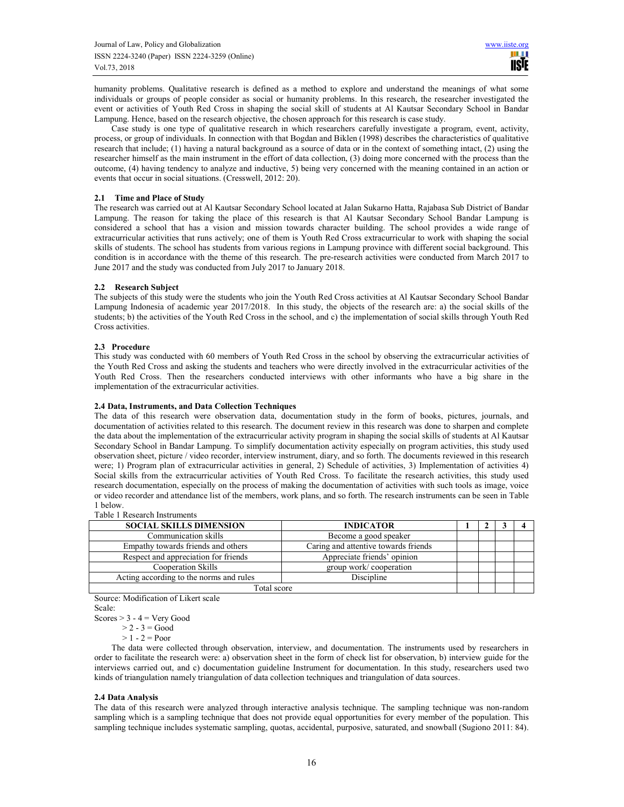humanity problems. Qualitative research is defined as a method to explore and understand the meanings of what some individuals or groups of people consider as social or humanity problems. In this research, the researcher investigated the event or activities of Youth Red Cross in shaping the social skill of students at Al Kautsar Secondary School in Bandar Lampung. Hence, based on the research objective, the chosen approach for this research is case study.

Case study is one type of qualitative research in which researchers carefully investigate a program, event, activity, process, or group of individuals. In connection with that Bogdan and Biklen (1998) describes the characteristics of qualitative research that include; (1) having a natural background as a source of data or in the context of something intact, (2) using the researcher himself as the main instrument in the effort of data collection, (3) doing more concerned with the process than the outcome, (4) having tendency to analyze and inductive, 5) being very concerned with the meaning contained in an action or events that occur in social situations. (Cresswell, 2012: 20).

# **2.1 Time and Place of Study**

The research was carried out at Al Kautsar Secondary School located at Jalan Sukarno Hatta, Rajabasa Sub District of Bandar Lampung. The reason for taking the place of this research is that Al Kautsar Secondary School Bandar Lampung is considered a school that has a vision and mission towards character building. The school provides a wide range of extracurricular activities that runs actively; one of them is Youth Red Cross extracurricular to work with shaping the social skills of students. The school has students from various regions in Lampung province with different social background. This condition is in accordance with the theme of this research. The pre-research activities were conducted from March 2017 to June 2017 and the study was conducted from July 2017 to January 2018.

# **2.2 Research Subject**

The subjects of this study were the students who join the Youth Red Cross activities at Al Kautsar Secondary School Bandar Lampung Indonesia of academic year 2017/2018. In this study, the objects of the research are: a) the social skills of the students; b) the activities of the Youth Red Cross in the school, and c) the implementation of social skills through Youth Red Cross activities.

# **2.3 Procedure**

This study was conducted with 60 members of Youth Red Cross in the school by observing the extracurricular activities of the Youth Red Cross and asking the students and teachers who were directly involved in the extracurricular activities of the Youth Red Cross. Then the researchers conducted interviews with other informants who have a big share in the implementation of the extracurricular activities.

# **2.4 Data, Instruments, and Data Collection Techniques**

The data of this research were observation data, documentation study in the form of books, pictures, journals, and documentation of activities related to this research. The document review in this research was done to sharpen and complete the data about the implementation of the extracurricular activity program in shaping the social skills of students at Al Kautsar Secondary School in Bandar Lampung. To simplify documentation activity especially on program activities, this study used observation sheet, picture / video recorder, interview instrument, diary, and so forth. The documents reviewed in this research were; 1) Program plan of extracurricular activities in general, 2) Schedule of activities, 3) Implementation of activities 4) Social skills from the extracurricular activities of Youth Red Cross. To facilitate the research activities, this study used research documentation, especially on the process of making the documentation of activities with such tools as image, voice or video recorder and attendance list of the members, work plans, and so forth. The research instruments can be seen in Table 1 below.

Table 1 Research Instruments

| <b>SOCIAL SKILLS DIMENSION</b>          | <b>INDICATOR</b>                     |  |  |  |  |
|-----------------------------------------|--------------------------------------|--|--|--|--|
| Communication skills                    | Become a good speaker                |  |  |  |  |
| Empathy towards friends and others      | Caring and attentive towards friends |  |  |  |  |
| Respect and appreciation for friends    | Appreciate friends' opinion          |  |  |  |  |
| Cooperation Skills                      | group work/cooperation               |  |  |  |  |
| Acting according to the norms and rules | Discipline                           |  |  |  |  |
| Total score                             |                                      |  |  |  |  |

Source: Modification of Likert scale Scale:

Scores  $> 3 - 4 =$  Very Good

 $>$  2 - 3  $=$  Good

 $> 1 - 2 = Poor$ 

The data were collected through observation, interview, and documentation. The instruments used by researchers in order to facilitate the research were: a) observation sheet in the form of check list for observation, b) interview guide for the interviews carried out, and c) documentation guideline Instrument for documentation. In this study, researchers used two kinds of triangulation namely triangulation of data collection techniques and triangulation of data sources.

# **2.4 Data Analysis**

The data of this research were analyzed through interactive analysis technique. The sampling technique was non-random sampling which is a sampling technique that does not provide equal opportunities for every member of the population. This sampling technique includes systematic sampling, quotas, accidental, purposive, saturated, and snowball (Sugiono 2011: 84).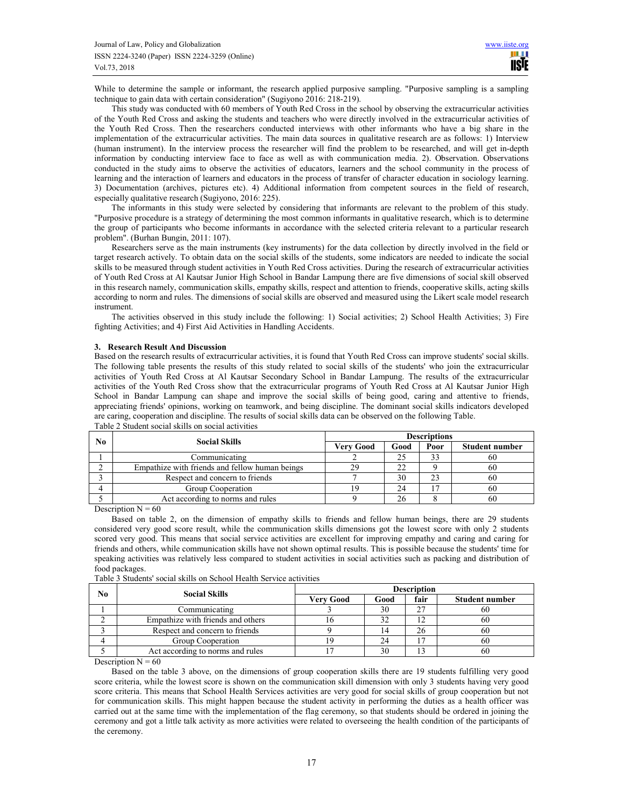While to determine the sample or informant, the research applied purposive sampling. "Purposive sampling is a sampling technique to gain data with certain consideration" (Sugiyono 2016: 218-219).

This study was conducted with 60 members of Youth Red Cross in the school by observing the extracurricular activities of the Youth Red Cross and asking the students and teachers who were directly involved in the extracurricular activities of the Youth Red Cross. Then the researchers conducted interviews with other informants who have a big share in the implementation of the extracurricular activities. The main data sources in qualitative research are as follows: 1) Interview (human instrument). In the interview process the researcher will find the problem to be researched, and will get in-depth information by conducting interview face to face as well as with communication media. 2). Observation. Observations conducted in the study aims to observe the activities of educators, learners and the school community in the process of learning and the interaction of learners and educators in the process of transfer of character education in sociology learning. 3) Documentation (archives, pictures etc). 4) Additional information from competent sources in the field of research, especially qualitative research (Sugiyono, 2016: 225).

The informants in this study were selected by considering that informants are relevant to the problem of this study. "Purposive procedure is a strategy of determining the most common informants in qualitative research, which is to determine the group of participants who become informants in accordance with the selected criteria relevant to a particular research problem". (Burhan Bungin, 2011: 107).

Researchers serve as the main instruments (key instruments) for the data collection by directly involved in the field or target research actively. To obtain data on the social skills of the students, some indicators are needed to indicate the social skills to be measured through student activities in Youth Red Cross activities. During the research of extracurricular activities of Youth Red Cross at Al Kautsar Junior High School in Bandar Lampung there are five dimensions of social skill observed in this research namely, communication skills, empathy skills, respect and attention to friends, cooperative skills, acting skills according to norm and rules. The dimensions of social skills are observed and measured using the Likert scale model research instrument.

The activities observed in this study include the following: 1) Social activities; 2) School Health Activities; 3) Fire fighting Activities; and 4) First Aid Activities in Handling Accidents.

# **3. Research Result And Discussion**

Based on the research results of extracurricular activities, it is found that Youth Red Cross can improve students' social skills. The following table presents the results of this study related to social skills of the students' who join the extracurricular activities of Youth Red Cross at Al Kautsar Secondary School in Bandar Lampung. The results of the extracurricular activities of the Youth Red Cross show that the extracurricular programs of Youth Red Cross at Al Kautsar Junior High School in Bandar Lampung can shape and improve the social skills of being good, caring and attentive to friends, appreciating friends' opinions, working on teamwork, and being discipline. The dominant social skills indicators developed are caring, cooperation and discipline. The results of social skills data can be observed on the following Table.

| No                   |                                                | <b>Descriptions</b> |      |                       |    |  |  |
|----------------------|------------------------------------------------|---------------------|------|-----------------------|----|--|--|
| <b>Social Skills</b> | Very Good                                      | Good                | Poor | <b>Student number</b> |    |  |  |
|                      | Communicating                                  |                     | 25   | 33                    | ωo |  |  |
|                      | Empathize with friends and fellow human beings | 29                  | 22   |                       | 60 |  |  |
|                      | Respect and concern to friends                 |                     | 30   |                       | 60 |  |  |
|                      | Group Cooperation                              |                     | 24   |                       | 60 |  |  |
|                      | Act according to norms and rules               |                     | 26   |                       | 60 |  |  |

Table 2 Student social skills on social activities

Description  $N = 60$ 

Based on table 2, on the dimension of empathy skills to friends and fellow human beings, there are 29 students considered very good score result, while the communication skills dimensions got the lowest score with only 2 students scored very good. This means that social service activities are excellent for improving empathy and caring and caring for friends and others, while communication skills have not shown optimal results. This is possible because the students' time for speaking activities was relatively less compared to student activities in social activities such as packing and distribution of food packages.

| No | <b>Social Skills</b>              | <b>Description</b> |      |                       |    |  |
|----|-----------------------------------|--------------------|------|-----------------------|----|--|
|    | Verv Good                         | Good               | fair | <b>Student number</b> |    |  |
|    | Communicating                     |                    | 30   | 27                    | ы  |  |
|    | Empathize with friends and others |                    |      |                       | ы  |  |
|    | Respect and concern to friends    |                    | 4    | 26                    | ы  |  |
|    | Group Cooperation                 |                    | 24   |                       | 60 |  |
|    | Act according to norms and rules  |                    | 30   |                       | ы  |  |

Table 3 Students' social skills on School Health Service activities

Description  $N = 60$ 

Based on the table 3 above, on the dimensions of group cooperation skills there are 19 students fulfilling very good score criteria, while the lowest score is shown on the communication skill dimension with only 3 students having very good score criteria. This means that School Health Services activities are very good for social skills of group cooperation but not for communication skills. This might happen because the student activity in performing the duties as a health officer was carried out at the same time with the implementation of the flag ceremony, so that students should be ordered in joining the ceremony and got a little talk activity as more activities were related to overseeing the health condition of the participants of the ceremony.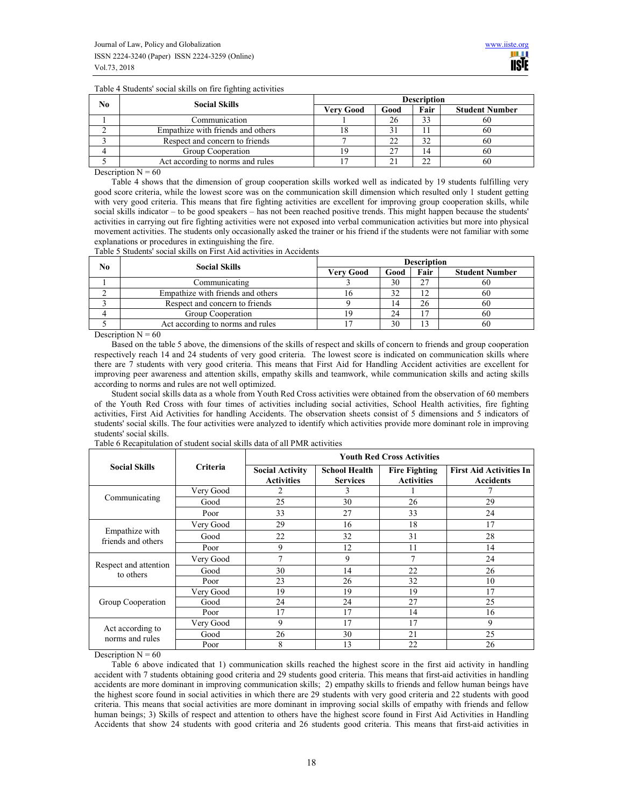Table 4 Students' social skills on fire fighting activities

| No | <b>Social Skills</b>              | <b>Description</b> |      |              |                       |  |
|----|-----------------------------------|--------------------|------|--------------|-----------------------|--|
|    |                                   | Very Good          | Good | Fair         | <b>Student Number</b> |  |
|    | Communication                     |                    | 26   | 33           | oι                    |  |
|    | Empathize with friends and others |                    |      |              | ΩL                    |  |
|    | Respect and concern to friends    |                    |      | 32           | ΩL                    |  |
|    | Group Cooperation                 |                    |      |              | bU.                   |  |
|    | Act according to norms and rules  |                    |      | $\mathbf{A}$ | ΩL                    |  |

Description  $N = 60$ 

Table 4 shows that the dimension of group cooperation skills worked well as indicated by 19 students fulfilling very good score criteria, while the lowest score was on the communication skill dimension which resulted only 1 student getting with very good criteria. This means that fire fighting activities are excellent for improving group cooperation skills, while social skills indicator – to be good speakers – has not been reached positive trends. This might happen because the students' activities in carrying out fire fighting activities were not exposed into verbal communication activities but more into physical movement activities. The students only occasionally asked the trainer or his friend if the students were not familiar with some explanations or procedures in extinguishing the fire.

Table 5 Students' social skills on First Aid activities in Accidents

| No                   |                                   | <b>Description</b> |      |                       |    |  |
|----------------------|-----------------------------------|--------------------|------|-----------------------|----|--|
| <b>Social Skills</b> | Very Good                         | Good               | Fair | <b>Student Number</b> |    |  |
|                      | Communicating                     |                    | 30   | 27                    | ы  |  |
|                      | Empathize with friends and others |                    | 32   |                       | ы  |  |
|                      | Respect and concern to friends    |                    | 14   | 26                    | 60 |  |
|                      | Group Cooperation                 |                    | 24   | $\mathbf{\tau}$       | 60 |  |
|                      | Act according to norms and rules  |                    | 30   | 13                    | 60 |  |

Description  $N = 60$ 

Based on the table 5 above, the dimensions of the skills of respect and skills of concern to friends and group cooperation respectively reach 14 and 24 students of very good criteria. The lowest score is indicated on communication skills where there are 7 students with very good criteria. This means that First Aid for Handling Accident activities are excellent for improving peer awareness and attention skills, empathy skills and teamwork, while communication skills and acting skills according to norms and rules are not well optimized.

Student social skills data as a whole from Youth Red Cross activities were obtained from the observation of 60 members of the Youth Red Cross with four times of activities including social activities, School Health activities, fire fighting activities, First Aid Activities for handling Accidents. The observation sheets consist of 5 dimensions and 5 indicators of students' social skills. The four activities were analyzed to identify which activities provide more dominant role in improving students' social skills.

|                                      |                 | <b>Youth Red Cross Activities</b>           |                                         |                                           |                                                    |  |  |
|--------------------------------------|-----------------|---------------------------------------------|-----------------------------------------|-------------------------------------------|----------------------------------------------------|--|--|
| <b>Social Skills</b>                 | <b>Criteria</b> | <b>Social Activity</b><br><b>Activities</b> | <b>School Health</b><br><b>Services</b> | <b>Fire Fighting</b><br><b>Activities</b> | <b>First Aid Activities In</b><br><b>Accidents</b> |  |  |
|                                      | Very Good       | 2                                           | 3                                       |                                           |                                                    |  |  |
| Communicating                        | Good            | 25                                          | 30                                      | 26                                        | 29                                                 |  |  |
|                                      | Poor            | 33                                          | 27                                      | 33                                        | 24                                                 |  |  |
|                                      | Very Good       | 29                                          | 16                                      | 18                                        | 17                                                 |  |  |
| Empathize with<br>friends and others | Good            | 22                                          | 32                                      | 31                                        | 28                                                 |  |  |
|                                      | Poor            | 9                                           | 12                                      | 11                                        | 14                                                 |  |  |
|                                      | Very Good       | 7                                           | 9                                       | 7                                         | 24                                                 |  |  |
| Respect and attention<br>to others   | Good            | 30                                          | 14                                      | 22                                        | 26                                                 |  |  |
|                                      | Poor            | 23                                          | 26                                      | 32                                        | 10                                                 |  |  |
|                                      | Very Good       | 19                                          | 19                                      | 19                                        | 17                                                 |  |  |
| Group Cooperation                    | Good            | 24                                          | 24                                      | 27                                        | 25                                                 |  |  |
|                                      | Poor            | 17                                          | 17                                      | 14                                        | 16                                                 |  |  |
| Act according to<br>norms and rules  | Very Good       | 9                                           | 17                                      | 17                                        | 9                                                  |  |  |
|                                      | Good            | 26                                          | 30                                      | 21                                        | 25                                                 |  |  |
|                                      | Poor            | 8                                           | 13                                      | 22                                        | 26                                                 |  |  |

Table 6 Recapitulation of student social skills data of all PMR activities

Description  $N = 60$ 

Table 6 above indicated that 1) communication skills reached the highest score in the first aid activity in handling accident with 7 students obtaining good criteria and 29 students good criteria. This means that first-aid activities in handling accidents are more dominant in improving communication skills; 2) empathy skills to friends and fellow human beings have the highest score found in social activities in which there are 29 students with very good criteria and 22 students with good criteria. This means that social activities are more dominant in improving social skills of empathy with friends and fellow human beings; 3) Skills of respect and attention to others have the highest score found in First Aid Activities in Handling Accidents that show 24 students with good criteria and 26 students good criteria. This means that first-aid activities in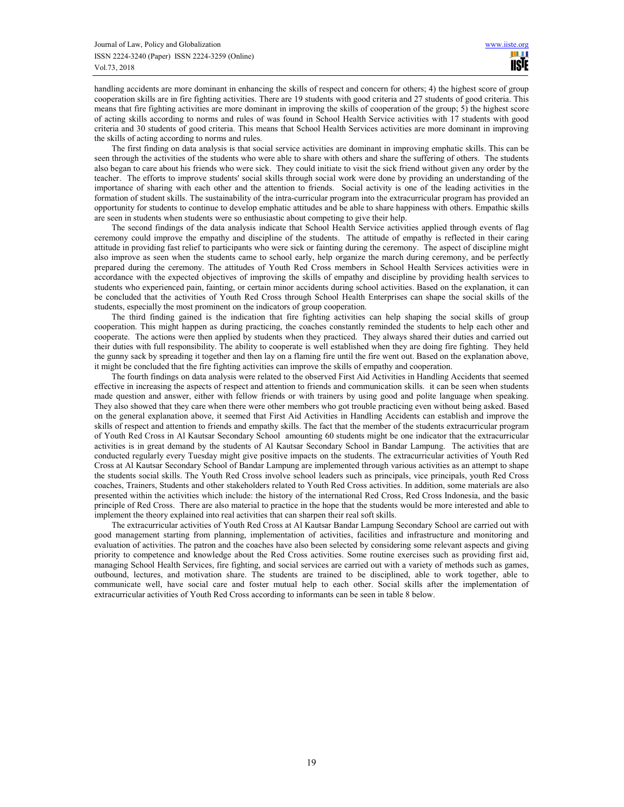handling accidents are more dominant in enhancing the skills of respect and concern for others; 4) the highest score of group cooperation skills are in fire fighting activities. There are 19 students with good criteria and 27 students of good criteria. This means that fire fighting activities are more dominant in improving the skills of cooperation of the group; 5) the highest score of acting skills according to norms and rules of was found in School Health Service activities with 17 students with good criteria and 30 students of good criteria. This means that School Health Services activities are more dominant in improving the skills of acting according to norms and rules.

The first finding on data analysis is that social service activities are dominant in improving emphatic skills. This can be seen through the activities of the students who were able to share with others and share the suffering of others. The students also began to care about his friends who were sick. They could initiate to visit the sick friend without given any order by the teacher. The efforts to improve students' social skills through social work were done by providing an understanding of the importance of sharing with each other and the attention to friends. Social activity is one of the leading activities in the formation of student skills. The sustainability of the intra-curricular program into the extracurricular program has provided an opportunity for students to continue to develop emphatic attitudes and be able to share happiness with others. Empathic skills are seen in students when students were so enthusiastic about competing to give their help.

The second findings of the data analysis indicate that School Health Service activities applied through events of flag ceremony could improve the empathy and discipline of the students. The attitude of empathy is reflected in their caring attitude in providing fast relief to participants who were sick or fainting during the ceremony. The aspect of discipline might also improve as seen when the students came to school early, help organize the march during ceremony, and be perfectly prepared during the ceremony. The attitudes of Youth Red Cross members in School Health Services activities were in accordance with the expected objectives of improving the skills of empathy and discipline by providing health services to students who experienced pain, fainting, or certain minor accidents during school activities. Based on the explanation, it can be concluded that the activities of Youth Red Cross through School Health Enterprises can shape the social skills of the students, especially the most prominent on the indicators of group cooperation.

The third finding gained is the indication that fire fighting activities can help shaping the social skills of group cooperation. This might happen as during practicing, the coaches constantly reminded the students to help each other and cooperate. The actions were then applied by students when they practiced. They always shared their duties and carried out their duties with full responsibility. The ability to cooperate is well established when they are doing fire fighting. They held the gunny sack by spreading it together and then lay on a flaming fire until the fire went out. Based on the explanation above, it might be concluded that the fire fighting activities can improve the skills of empathy and cooperation.

The fourth findings on data analysis were related to the observed First Aid Activities in Handling Accidents that seemed effective in increasing the aspects of respect and attention to friends and communication skills. it can be seen when students made question and answer, either with fellow friends or with trainers by using good and polite language when speaking. They also showed that they care when there were other members who got trouble practicing even without being asked. Based on the general explanation above, it seemed that First Aid Activities in Handling Accidents can establish and improve the skills of respect and attention to friends and empathy skills. The fact that the member of the students extracurricular program of Youth Red Cross in Al Kautsar Secondary School amounting 60 students might be one indicator that the extracurricular activities is in great demand by the students of Al Kautsar Secondary School in Bandar Lampung. The activities that are conducted regularly every Tuesday might give positive impacts on the students. The extracurricular activities of Youth Red Cross at Al Kautsar Secondary School of Bandar Lampung are implemented through various activities as an attempt to shape the students social skills. The Youth Red Cross involve school leaders such as principals, vice principals, youth Red Cross coaches, Trainers, Students and other stakeholders related to Youth Red Cross activities. In addition, some materials are also presented within the activities which include: the history of the international Red Cross, Red Cross Indonesia, and the basic principle of Red Cross. There are also material to practice in the hope that the students would be more interested and able to implement the theory explained into real activities that can sharpen their real soft skills.

The extracurricular activities of Youth Red Cross at Al Kautsar Bandar Lampung Secondary School are carried out with good management starting from planning, implementation of activities, facilities and infrastructure and monitoring and evaluation of activities. The patron and the coaches have also been selected by considering some relevant aspects and giving priority to competence and knowledge about the Red Cross activities. Some routine exercises such as providing first aid, managing School Health Services, fire fighting, and social services are carried out with a variety of methods such as games, outbound, lectures, and motivation share. The students are trained to be disciplined, able to work together, able to communicate well, have social care and foster mutual help to each other. Social skills after the implementation of extracurricular activities of Youth Red Cross according to informants can be seen in table 8 below.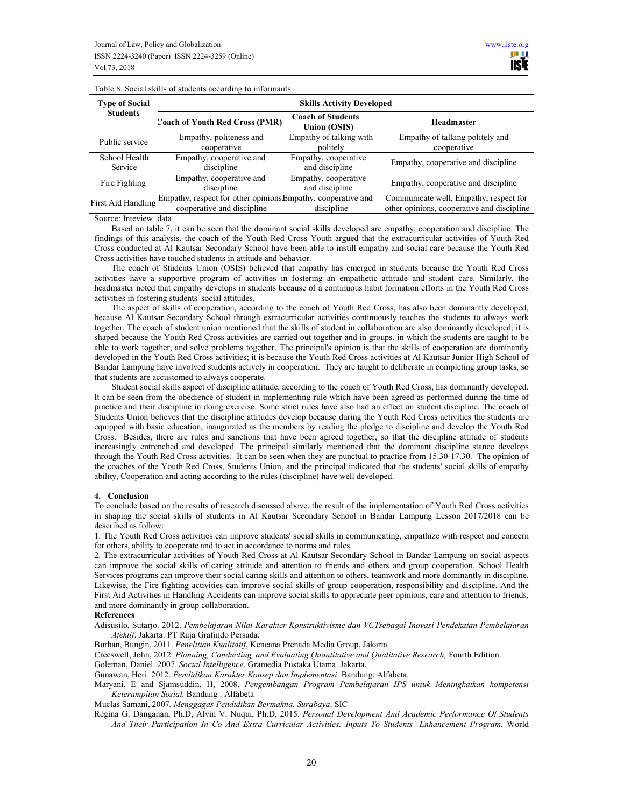| <b>Type of Social</b> | <b>Skills Activity Developed</b>                                                |                                                 |                                            |  |  |  |
|-----------------------|---------------------------------------------------------------------------------|-------------------------------------------------|--------------------------------------------|--|--|--|
| <b>Students</b>       | Coach of Youth Red Cross (PMR)                                                  | <b>Coach of Students</b><br><b>Union (OSIS)</b> | <b>Headmaster</b>                          |  |  |  |
| Public service        | Empathy, politeness and                                                         | Empathy of talking with                         | Empathy of talking politely and            |  |  |  |
|                       | cooperative                                                                     | politely                                        | cooperative                                |  |  |  |
| School Health         | Empathy, cooperative and                                                        | Empathy, cooperative                            | Empathy, cooperative and discipline        |  |  |  |
| Service               | discipline                                                                      | and discipline                                  |                                            |  |  |  |
| Fire Fighting         | Empathy, cooperative and                                                        | Empathy, cooperative                            | Empathy, cooperative and discipline        |  |  |  |
|                       | discipline                                                                      | and discipline                                  |                                            |  |  |  |
|                       | First Aid Handling Empathy, respect for other opinions Empathy, cooperative and |                                                 | Communicate well, Empathy, respect for     |  |  |  |
|                       | cooperative and discipline                                                      | discipline                                      | other opinions, cooperative and discipline |  |  |  |

Table 8. Social skills of students according to informants

Source: Inteview data

Based on table 7, it can be seen that the dominant social skills developed are empathy, cooperation and discipline. The findings of this analysis, the coach of the Youth Red Cross Youth argued that the extracurricular activities of Youth Red Cross conducted at Al Kautsar Secondary School have been able to instill empathy and social care because the Youth Red Cross activities have touched students in attitude and behavior.

The coach of Students Union (OSIS) believed that empathy has emerged in students because the Youth Red Cross activities have a supportive program of activities in fostering an empathetic attitude and student care. Similarly, the headmaster noted that empathy develops in students because of a continuous habit formation efforts in the Youth Red Cross activities in fostering students' social attitudes.

The aspect of skills of cooperation, according to the coach of Youth Red Cross, has also been dominantly developed, because Al Kautsar Secondary School through extracurricular activities continuously teaches the students to always work together. The coach of student union mentioned that the skills of student in collaboration are also dominantly developed; it is shaped because the Youth Red Cross activities are carried out together and in groups, in which the students are taught to be able to work together, and solve problems together. The principal's opinion is that the skills of cooperation are dominantly developed in the Youth Red Cross activities; it is because the Youth Red Cross activities at Al Kautsar Junior High School of Bandar Lampung have involved students actively in cooperation. They are taught to deliberate in completing group tasks, so that students are accustomed to always cooperate.

Student social skills aspect of discipline attitude, according to the coach of Youth Red Cross, has dominantly developed. It can be seen from the obedience of student in implementing rule which have been agreed as performed during the time of practice and their discipline in doing exercise. Some strict rules have also had an effect on student discipline. The coach of Students Union believes that the discipline attitudes develop because during the Youth Red Cross activities the students are equipped with basic education, inaugurated as the members by reading the pledge to discipline and develop the Youth Red Cross. Besides, there are rules and sanctions that have been agreed together, so that the discipline attitude of students increasingly entrenched and developed. The principal similarly mentioned that the dominant discipline stance develops through the Youth Red Cross activities. It can be seen when they are punctual to practice from 15.30-17.30. The opinion of the coaches of the Youth Red Cross, Students Union, and the principal indicated that the students' social skills of empathy ability, Cooperation and acting according to the rules (discipline) have well developed.

# **4. Conclusion**

To conclude based on the results of research discussed above, the result of the implementation of Youth Red Cross activities in shaping the social skills of students in Al Kautsar Secondary School in Bandar Lampung Lesson 2017/2018 can be described as follow:

1. The Youth Red Cross activities can improve students' social skills in communicating, empathize with respect and concern for others, ability to cooperate and to act in accordance to norms and rules.

2. The extracurricular activities of Youth Red Cross at Al Kautsar Secondary School in Bandar Lampung on social aspects can improve the social skills of caring attitude and attention to friends and others and group cooperation. School Health Services programs can improve their social caring skills and attention to others, teamwork and more dominantly in discipline. Likewise, the Fire fighting activities can improve social skills of group cooperation, responsibility and discipline. And the First Aid Activities in Handling Accidents can improve social skills to appreciate peer opinions, care and attention to friends, and more dominantly in group collaboration.

# **References**

Adisusilo, Sutarjo. 2012. *Pembelajaran Nilai Karakter Konstruktivisme dan VCTsebagai Inovasi Pendekatan Pembelajaran Afektif*. Jakarta: PT Raja Grafindo Persada.

Burhan, Bungin, 2011. *Penelitian Kualitatif*, Kencana Prenada Media Group, Jakarta.

Creeswell, John, 2012. *Planning, Conducting, and Evaluating Quantitative and Qualitative Research, Fourth Edition.* 

Goleman, Daniel. 2007. *Social Intelligence*. Gramedia Pustaka Utama. Jakarta.

Gunawan, Heri. 2012. *Pendidikan Karakter Konsep dan Implementasi*. Bandung: Alfabeta.

Maryani, E and Sjamsuddin, H, 2008. *Pengembangan Program Pembelajaran IPS untuk Meningkatkan kompetensi Keterampilan Sosial.* Bandung : Alfabeta

Muclas Samani, 2007*. Menggagas Pendidikan Bermakna. Surabaya*. SIC

Regina G. Danganan, Ph.D, Alvin V. Nuqui, Ph.D, 2015. *Personal Development And Academic Performance Of Students And Their Participation In Co And Extra Curricular Activities: Inputs To Students' Enhancement Program.* World